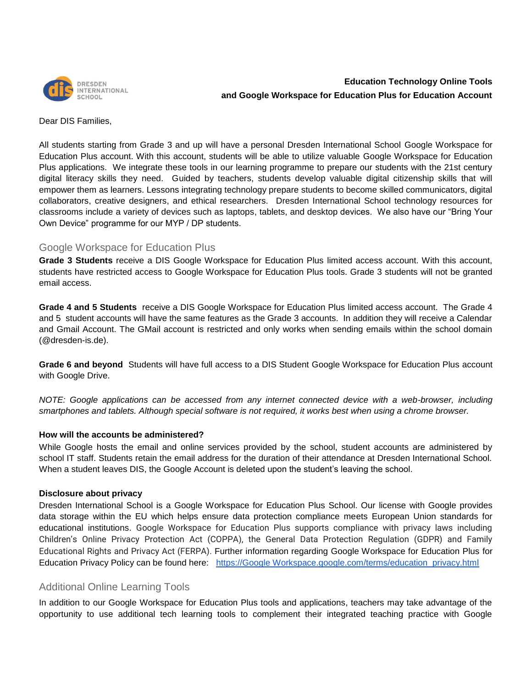

# **Education Technology Online Tools and Google Workspace for Education Plus for Education Account**

Dear DIS Families,

All students starting from Grade 3 and up will have a personal Dresden International School Google Workspace for Education Plus account. With this account, students will be able to utilize valuable Google Workspace for Education Plus applications. We integrate these tools in our learning programme to prepare our students with the 21st century digital literacy skills they need. Guided by teachers, students develop valuable digital citizenship skills that will empower them as learners. Lessons integrating technology prepare students to become skilled communicators, digital collaborators, creative designers, and ethical researchers. Dresden International School technology resources for classrooms include a variety of devices such as laptops, tablets, and desktop devices. We also have our "Bring Your Own Device" programme for our MYP / DP students.

## Google Workspace for Education Plus

**Grade 3 Students** receive a DIS Google Workspace for Education Plus limited access account. With this account, students have restricted access to Google Workspace for Education Plus tools. Grade 3 students will not be granted email access.

**Grade 4 and 5 Students** receive a DIS Google Workspace for Education Plus limited access account. The Grade 4 and 5 student accounts will have the same features as the Grade 3 accounts. In addition they will receive a Calendar and Gmail Account. The GMail account is restricted and only works when sending emails within the school domain (@dresden-is.de).

**Grade 6 and beyond** Students will have full access to a DIS Student Google Workspace for Education Plus account with Google Drive.

*NOTE: Google applications can be accessed from any internet connected device with a web-browser, including smartphones and tablets. Although special software is not required, it works best when using a chrome browser.* 

### **How will the accounts be administered?**

While Google hosts the email and online services provided by the school, student accounts are administered by school IT staff. Students retain the email address for the duration of their attendance at Dresden International School. When a student leaves DIS, the Google Account is deleted upon the student's leaving the school.

### **Disclosure about privacy**

Dresden International School is a Google Workspace for Education Plus School. Our license with Google provides data storage within the EU which helps ensure data protection compliance meets European Union standards for educational institutions. Google Workspace for Education Plus supports compliance with privacy laws including Children's Online Privacy Protection Act (COPPA), the General Data Protection Regulation (GDPR) and Family Educational Rights and Privacy Act (FERPA). Further information regarding Google Workspace for Education Plus for Education Privacy Policy can be found here: https://Google Workspace.google.com/terms/education\_privacy.html

### Additional Online Learning Tools

In addition to our Google Workspace for Education Plus tools and applications, teachers may take advantage of the opportunity to use additional tech learning tools to complement their integrated teaching practice with Google